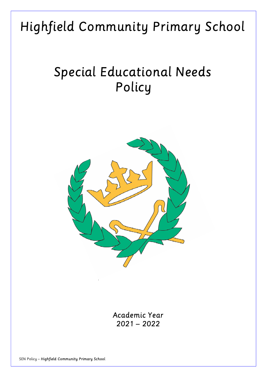# Highfield Community Primary School

# Special Educational Needs Policy



Academic Year 2021 – 2022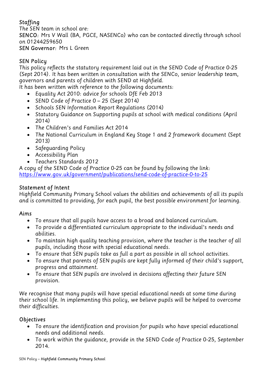## **Staffing**

The SEN team in school are: SENCO: Mrs V Wall (BA, PGCE, NASENCo) who can be contacted directly through school on 01244259650 SEN Governor: Mrs L Green

## SEN Policy

This policy reflects the statutory requirement laid out in the SEND Code of Practice 0-25 (Sept 2014). It has been written in consultation with the SENCo, senior leadership team, governors and parents of children with SEND at Highfield.

It has been written with reference to the following documents:

- Equality Act 2010: advice for schools DfE Feb 2013
- SEND Code of Practice 0 25 (Sept 2014)
- Schools SEN Information Report Regulations (2014)
- Statutory Guidance on Supporting pupils at school with medical conditions (April 2014)
- The Children's and Families Act 2014
- The National Curriculum in England Key Stage 1 and 2 framework document (Sept 2013)
- Safeguarding Policy
- Accessibility Plan
- Teachers Standards 2012

A copy of the SEND Code of Practice 0-25 can be found by following the link: https://www.gov.uk/government/publications/send-code-of-practice-0-to-25

## Statement of Intent

Highfield Community Primary School values the abilities and achievements of all its pupils and is committed to providing, for each pupil, the best possible environment for learning.

## Aims

- To ensure that all pupils have access to a broad and balanced curriculum.
- To provide a differentiated curriculum appropriate to the individual's needs and abilities.
- To maintain high quality teaching provision, where the teacher is the teacher of all pupils, including those with special educational needs.
- To ensure that SEN pupils take as full a part as possible in all school activities.
- To ensure that parents of SEN pupils are kept fully informed of their child's support, progress and attainment.
- To ensure that SEN pupils are involved in decisions affecting their future SEN provision.

We recognise that many pupils will have special educational needs at some time during their school life. In implementing this policy, we believe pupils will be helped to overcome their difficulties.

## Objectives

- To ensure the identification and provision for pupils who have special educational needs and additional needs.
- To work within the guidance, provide in the SEND Code of Practice 0-25, September 2014.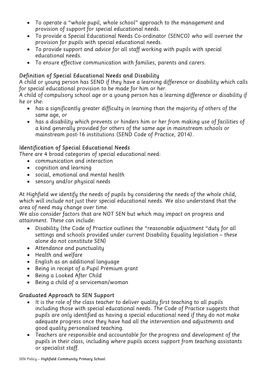- To operate a "whole pupil, whole school" approach to the management and provision of support for special educational needs.
- To provide a Special Educational Needs Co-ordinator (SENCO) who will oversee the provision for pupils with special educational needs.
- To provide support and advice for all staff working with pupils with special educational needs.
- To ensure effective communication with families, parents and carers.

### Definition of Special Educational Needs and Disability

A child or young person has SEND if they have a learning difference or disability which calls for special educational provision to be made for him or her.

A child of compulsory school age or a young person has a learning difference or disability if he or she:

- has a significantly greater difficulty in learning than the majority of others of the same age, or
- has a disability which prevents or hinders him or her from making use of facilities of a kind generally provided for others of the same age in mainstream schools or mainstream post-16 institutions (SEND Code of Practice, 2014).

#### Identification of Special Educational Needs

There are 4 broad categories of special educational need:

- communication and interaction
- cognition and learning
- social, emotional and mental health
- sensory and/or physical needs

At Highfield we identify the needs of pupils by considering the needs of the whole child, which will include not just their special educational needs. We also understand that the area of need may change over time.

We also consider factors that are NOT SEN but which may impact on progress and attainment. These can include:

- Disability (the Code of Practice outlines the "reasonable adjustment "duty for all settings and schools provided under current Disability Equality legislation – these alone do not constitute SEN)
- Attendance and punctuality
- Health and welfare
- English as an additional language
- Being in receipt of a Pupil Premium grant
- Being a Looked After Child
- Being a child of a serviceman/woman

#### Graduated Approach to SEN Support

- It is the role of the class teacher to deliver quality first teaching to all pupils including those with special educational needs. The Code of Practice suggests that pupils are only identified as having a special educational need if they do not make adequate progress once they have had all the intervention and adjustments and good quality personalised teaching.
- Teachers are responsible and accountable for the progress and development of the pupils in their class, including where pupils access support from teaching assistants or specialist staff.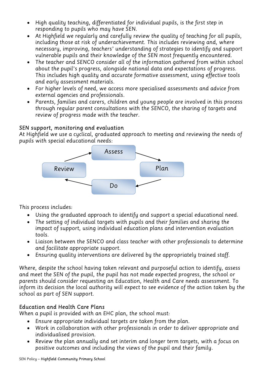- High quality teaching, differentiated for individual pupils, is the first step in responding to pupils who may have SEN.
- At Highfield we regularly and carefully review the quality of teaching for all pupils, including those at risk of underachievement. This includes reviewing and, where necessary, improving, teachers' understanding of strategies to identify and support vulnerable pupils and their knowledge of the SEN most frequently encountered.
- The teacher and SENCO consider all of the information gathered from within school about the pupil's progress, alongside national data and expectations of progress. This includes high quality and accurate formative assessment, using effective tools and early assessment materials.
- For higher levels of need, we access more specialised assessments and advice from external agencies and professionals.
- Parents, families and carers, children and young people are involved in this process through regular parent consultations with the SENCO, the sharing of targets and review of progress made with the teacher.

#### SEN support, monitoring and evaluation

At Highfield we use a cyclical, graduated approach to meeting and reviewing the needs of pupils with special educational needs:



This process includes:

- Using the graduated approach to identify and support a special educational need.
- The setting of individual targets with pupils and their families and sharing the impact of support, using individual education plans and intervention evaluation tools.
- Liaison between the SENCO and class teacher with other professionals to determine and facilitate appropriate support.
- Ensuring quality interventions are delivered by the appropriately trained staff.

Where, despite the school having taken relevant and purposeful action to identify, assess and meet the SEN of the pupil, the pupil has not made expected progress, the school or parents should consider requesting an Education, Health and Care needs assessment. To inform its decision the local authority will expect to see evidence of the action taken by the school as part of SEN support.

#### Education and Health Care Plans

When a pupil is provided with an EHC plan, the school must:

- Ensure appropriate individual targets are taken from the plan.
- Work in collaboration with other professionals in order to deliver appropriate and individualised provision.
- Review the plan annually and set interim and longer term targets, with a focus on positive outcomes and including the views of the pupil and their family.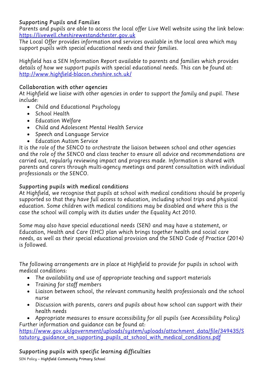#### Supporting Pupils and Families

Parents and pupils are able to access the local offer Live Well website using the link below: https://livewell.cheshirewestandchester.gov.uk

The Local Offer provides information and services available in the local area which may support pupils with special educational needs and their families.

Highfield has a SEN Information Report available to parents and families which provides details of how we support pupils with special educational needs. This can be found at: http://www.highfield-blacon.cheshire.sch.uk/

#### Collaboration with other agencies

At Highfield we liaise with other agencies in order to support the family and pupil. These include:

- Child and Educational Psychology
- School Health
- Education Welfare
- Child and Adolescent Mental Health Service
- Speech and Language Service
- Education Autism Service

It is the role of the SENCO to orchestrate the liaison between school and other agencies and the role of the SENCO and class teacher to ensure all advice and recommendations are carried out, regularly reviewing impact and progress made. Information is shared with parents and carers through multi-agency meetings and parent consultation with individual professionals or the SENCO.

### Supporting pupils with medical conditions

At Highfield, we recognise that pupils at school with medical conditions should be properly supported so that they have full access to education, including school trips and physical education. Some children with medical conditions may be disabled and where this is the case the school will comply with its duties under the Equality Act 2010.

Some may also have special educational needs (SEN) and may have a statement, or Education, Health and Care (EHC) plan which brings together health and social care needs, as well as their special educational provision and the SEND Code of Practice (2014) is followed.

The following arrangements are in place at Highfield to provide for pupils in school with medical conditions:

- The availability and use of appropriate teaching and support materials
- Training for staff members
- Liaison between school, the relevant community health professionals and the school nurse
- Discussion with parents, carers and pupils about how school can support with their health needs

 Appropriate measures to ensure accessibility for all pupils (see Accessibility Policy) Further information and guidance can be found at:

https://www.gov.uk/government/uploads/system/uploads/attachment\_data/file/349435/S tatutory quidance on supporting pupils at school with medical conditions.pdf

# Supporting pupils with specific learning difficulties

SEN Policy – Highfield Community Primary School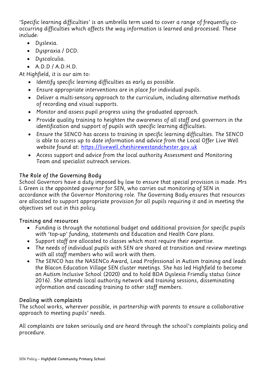'Specific learning difficulties' is an umbrella term used to cover a range of frequently cooccurring difficulties which affects the way information is learned and processed. These include:

- Dyslexia.
- Dyspraxia / DCD.
- Dyscalculia.
- $A.D.D/A.D.H.D.$

At Highfield, it is our aim to:

- Identify specific learning difficulties as early as possible.
- Ensure appropriate interventions are in place for individual pupils.
- Deliver a multi-sensory approach to the curriculum, including alternative methods of recording and visual supports.
- Monitor and assess pupil progress using the graduated approach.
- Provide quality training to heighten the awareness of all staff and governors in the identification and support of pupils with specific learning difficulties.
- Ensure the SENCO has access to training in specific learning difficulties. The SENCO is able to access up to date information and advice from the Local Offer Live Well website found at: https://livewell.cheshirewestandchester.gov.uk
- Access support and advice from the local authority Assessment and Monitoring Team and specialist outreach services.

# The Role of the Governing Body

School Governors have a duty imposed by law to ensure that special provision is made. Mrs L Green is the appointed governor for SEN, who carries out monitoring of SEN in accordance with the Governor Monitoring role. The Governing Body ensures that resources are allocated to support appropriate provision for all pupils requiring it and in meeting the objectives set out in this policy.

# Training and resources

- Funding is through the notational budget and additional provision for specific pupils with 'top-up' funding, statements and Education and Health Care plans.
- Support staff are allocated to classes which most require their expertise.
- The needs of individual pupils with SEN are shared at transition and review meetings with all staff members who will work with them.
- The SENCO has the NASENCo Award, Lead Professional in Autism training and leads the Blacon Education Village SEN cluster meetings. She has led Highfield to become an Autism Inclusive School (2020) and to hold BDA Dyslexia Friendly status (since 2016). She attends local authority network and training sessions, disseminating information and cascading training to other staff members.

# Dealing with complaints

The school works, wherever possible, in partnership with parents to ensure a collaborative approach to meeting pupils' needs.

All complaints are taken seriously and are heard through the school's complaints policy and procedure.